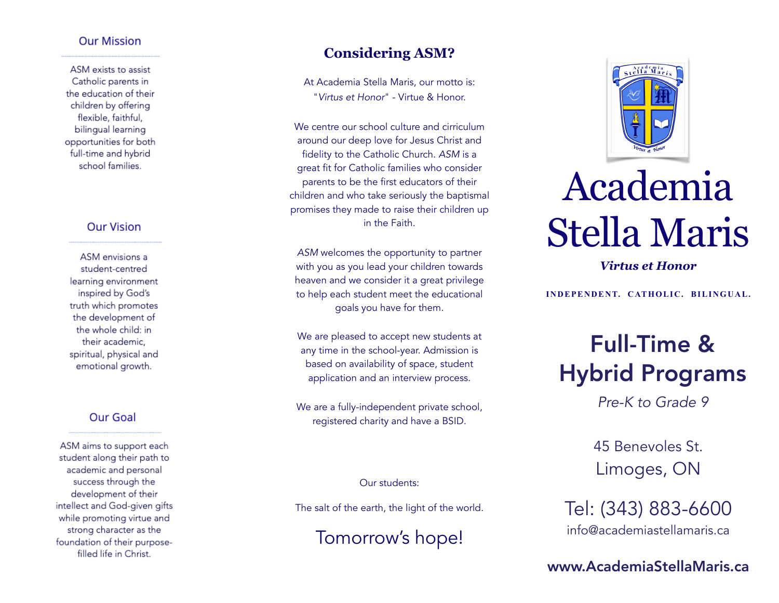#### **Our Mission**

ASM exists to assist Catholic parents in the education of their children by offerina flexible, faithful, bilingual learning opportunities for both full-time and hybrid school families.

#### **Our Vision**

ASM envisions a student-centred learning environment inspired by God's truth which promotes the development of the whole child: in their academic. spiritual, physical and emotional growth.

#### Our Goal

ASM aims to support each student along their path to academic and personal success through the development of their intellect and God-given gifts while promoting virtue and strong character as the foundation of their purposefilled life in Christ.

#### **Considering ASM?**

At Academia Stella Maris, our motto is: "*Virtus et Honor*" - Virtue & Honor.

We centre our school culture and cirriculum around our deep love for Jesus Christ and fidelity to the Catholic Church. *ASM* is a great fit for Catholic families who consider parents to be the first educators of their children and who take seriously the baptismal promises they made to raise their children up in the Faith.

*ASM* welcomes the opportunity to partner with you as you lead your children towards heaven and we consider it a great privilege to help each student meet the educational goals you have for them.

We are pleased to accept new students at any time in the school-year. Admission is based on availability of space, student application and an interview process.

We are a fully-independent private school, registered charity and have a BSID.

Our students:

The salt of the earth, the light of the world.

Tomorrow's hope!



# Academia Stella Maris

*Virtus et Honor*

**INDEPENDENT. CATHOLIC. BILINGUAL.**

# Full-Time & Hybrid Programs

*Pre-K to Grade 9*

45 Benevoles St. Limoges, ON

Tel: (343) 883-6600 [info@academiastellamaris.ca](mailto:info@academiastellamaris.ca?subject=Information%20Request) 

www.AcademiaStellaMaris.ca